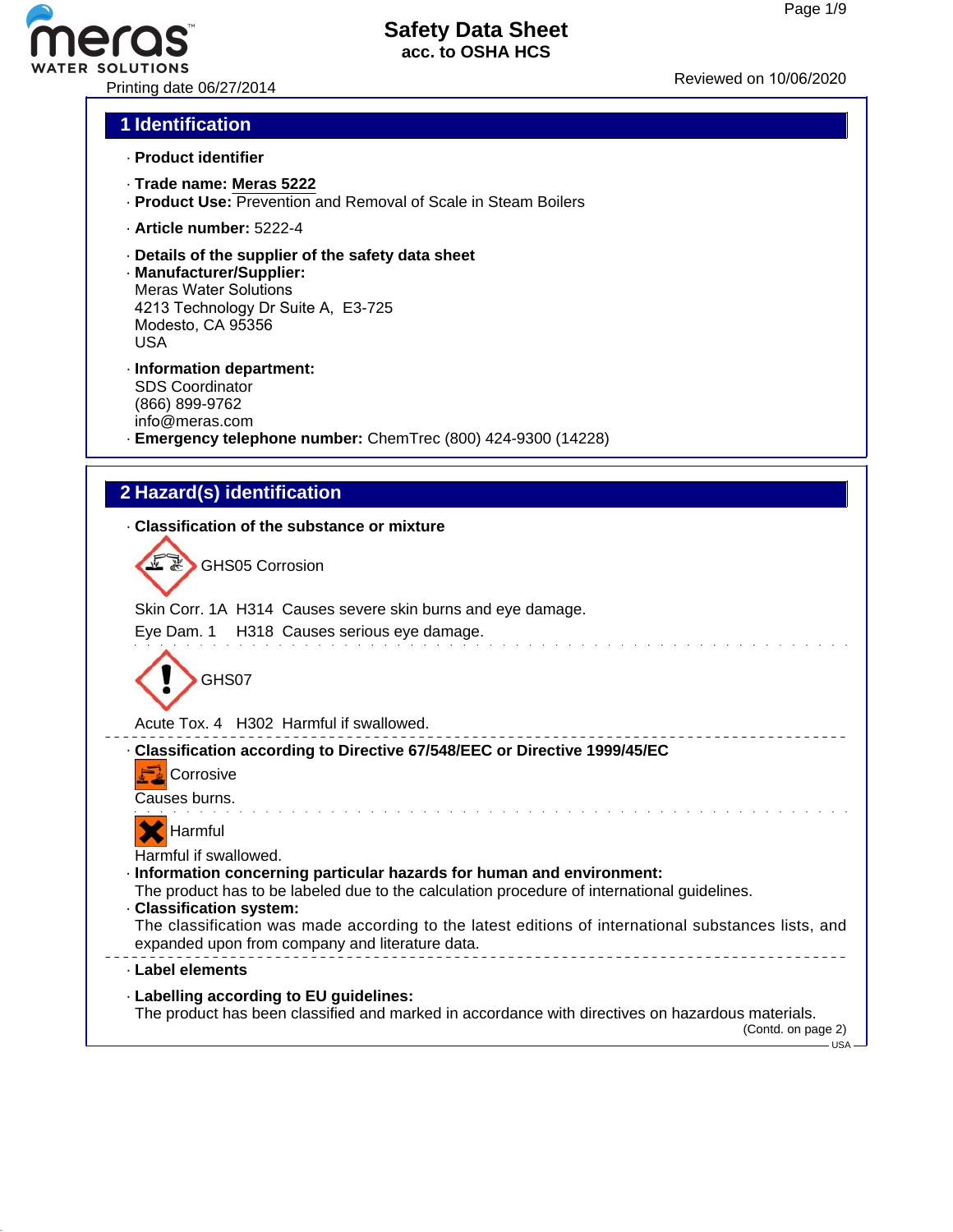# Printing date 06/27/2014 Reviewed on 10/06/20<sup>20</sup>

### **Safety Data Sheet acc. to OSHA HCS**

### **1 Identification**

- · **Product identifier**
- · **Trade name: Meras 5222**
- · **Product Use:** Prevention and Removal of Scale in Steam Boilers
- · **Article number:** 5222-4
- · **Details of the supplier of the safety data sheet**
- · **Manufacturer/Supplier:** Meras Water Solutions 4213 Technology Dr Suite A, E3-725 Modesto, CA 95356 USA
- · **Information department:** SDS Coordinator (866) 899-9762 info@meras.com · **Emergency telephone number:** ChemTrec (800) 424-9300 (14228)

### **2 Hazard(s) identification**

### · **Classification of the substance or mixture**

 $\frac{1}{2}$ GHS05 Corrosion

Skin Corr. 1A H314 Causes severe skin burns and eye damage.

### Eye Dam. 1 H318 Causes serious eye damage.



Acute Tox. 4 H302 Harmful if swallowed.

#### \_\_\_\_\_\_\_\_\_\_\_\_\_\_\_\_\_\_\_\_ · **Classification according to Directive 67/548/EEC or Directive 1999/45/EC**

**Corrosive** 

Causes burns.



Harmful if swallowed.

- · **Information concerning particular hazards for human and environment:**
- The product has to be labeled due to the calculation procedure of international guidelines.
- · **Classification system:**
- The classification was made according to the latest editions of international substances lists, and expanded upon from company and literature data. ---------------------------------

### · **Label elements**

· **Labelling according to EU guidelines:**

The product has been classified and marked in accordance with directives on hazardous materials.

(Contd. on page 2)  $-$ USA -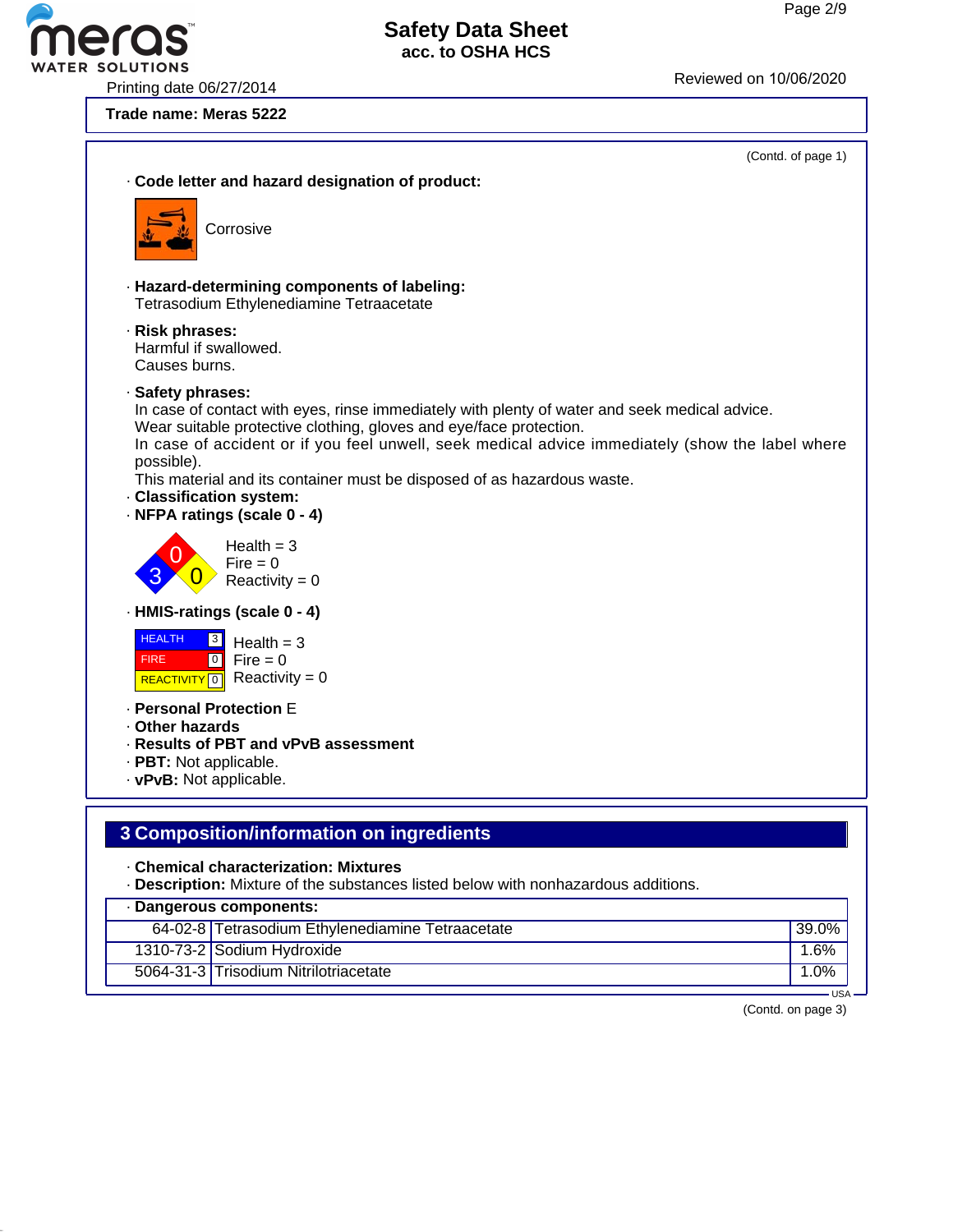Printing date 06/27/2014<br>Printing date 06/27/2014

### **Trade name: Meras 5222**



### **3 Composition/information on ingredients**

### · **Chemical characterization: Mixtures**

· **Description:** Mixture of the substances listed below with nonhazardous additions.

| · Dangerous components: |                                                  |       |  |  |
|-------------------------|--------------------------------------------------|-------|--|--|
|                         | 64-02-8 Tetrasodium Ethylenediamine Tetraacetate | 39.0% |  |  |
|                         | 1310-73-2 Sodium Hydroxide                       | 1.6%  |  |  |
|                         | 5064-31-3 Trisodium Nitrilotriacetate            | .0%   |  |  |
| $HSA -$                 |                                                  |       |  |  |

(Contd. on page 3)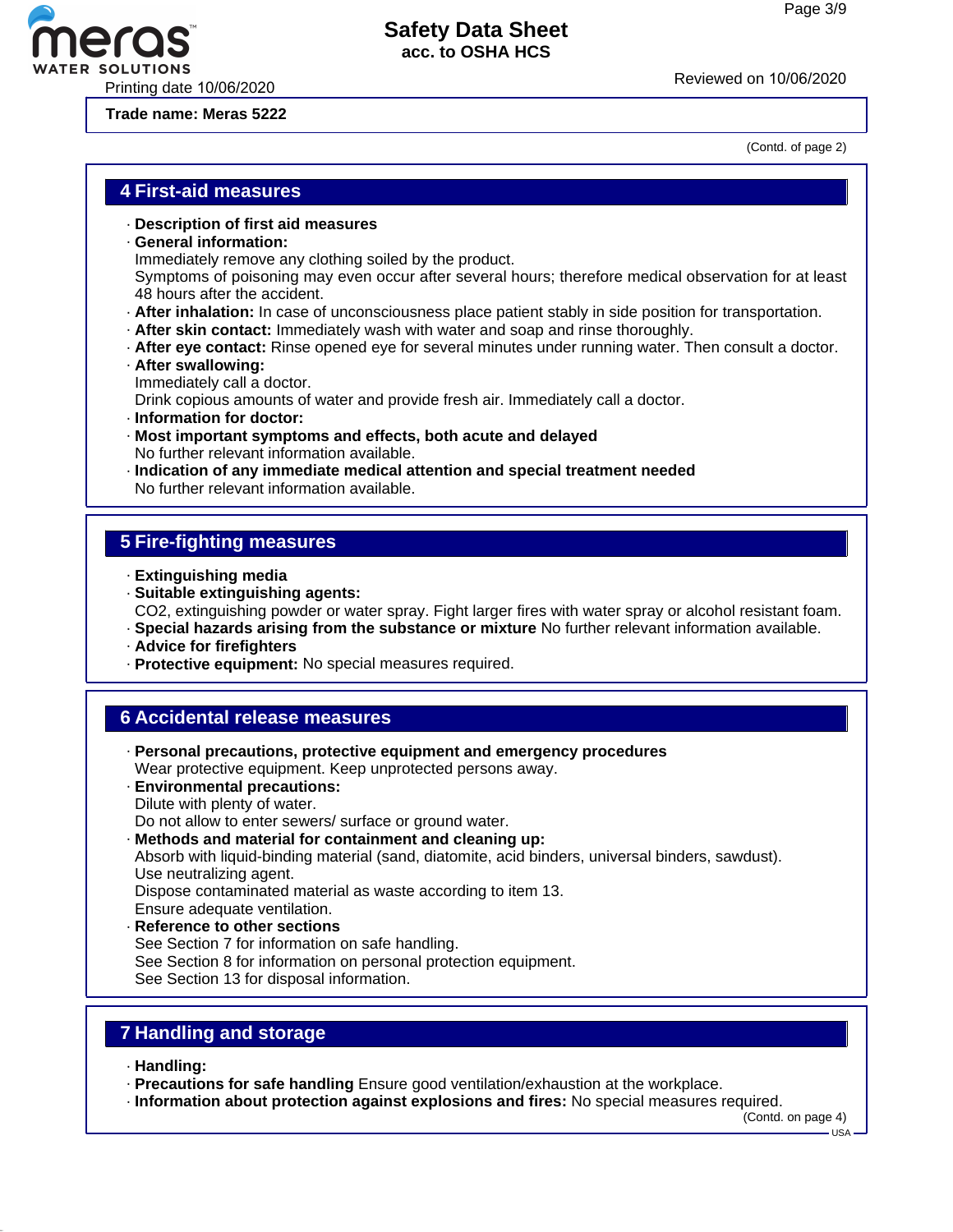(Contd. of page 2)



### **Safety Data Sheet acc. to OSHA HCS**

**Trade name: Meras 5222**

### **4 First-aid measures**

- · **Description of first aid measures**
- · **General information:**

Immediately remove any clothing soiled by the product.

Symptoms of poisoning may even occur after several hours; therefore medical observation for at least 48 hours after the accident.

- · **After inhalation:** In case of unconsciousness place patient stably in side position for transportation.
- · **After skin contact:** Immediately wash with water and soap and rinse thoroughly.
- · **After eye contact:** Rinse opened eye for several minutes under running water. Then consult a doctor.
- · **After swallowing:** Immediately call a doctor.

Drink copious amounts of water and provide fresh air. Immediately call a doctor.

- · **Information for doctor:**
- · **Most important symptoms and effects, both acute and delayed** No further relevant information available.
- · **Indication of any immediate medical attention and special treatment needed** No further relevant information available.

### **5 Fire-fighting measures**

- · **Extinguishing media**
- · **Suitable extinguishing agents:** CO2, extinguishing powder or water spray. Fight larger fires with water spray or alcohol resistant foam.
- · **Special hazards arising from the substance or mixture** No further relevant information available.
- · **Advice for firefighters**
- · **Protective equipment:** No special measures required.

### **6 Accidental release measures**

- · **Personal precautions, protective equipment and emergency procedures** Wear protective equipment. Keep unprotected persons away.
- · **Environmental precautions:** Dilute with plenty of water.

Do not allow to enter sewers/ surface or ground water.

· **Methods and material for containment and cleaning up:**

Absorb with liquid-binding material (sand, diatomite, acid binders, universal binders, sawdust). Use neutralizing agent.

Dispose contaminated material as waste according to item 13.

Ensure adequate ventilation.

· **Reference to other sections** See Section 7 for information on safe handling. See Section 8 for information on personal protection equipment. See Section 13 for disposal information.

### **7 Handling and storage**

· **Handling:**

· **Precautions for safe handling** Ensure good ventilation/exhaustion at the workplace.

· **Information about protection against explosions and fires:** No special measures required.

(Contd. on page 4)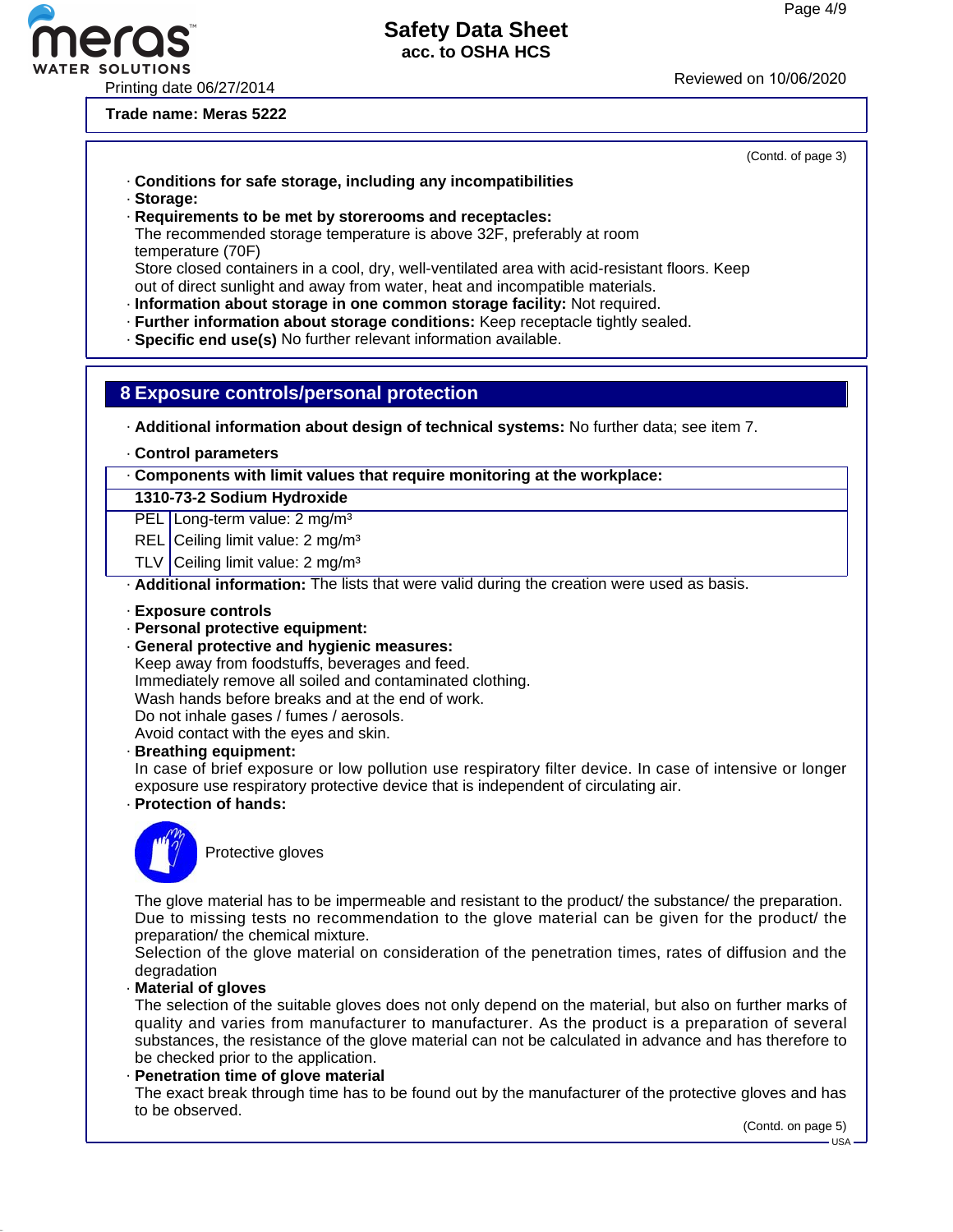## **Safety Data Sheet**

**acc. to OSHA HCS**

## WATER SOLUTIONS<br>Printing date 06/27/2014 Reviewed on 10/06/2020

**Trade name: Meras 5222**

 $\bullet$ 

ero

| (Contd. of page 3)                                                                                                                                                                                                                                                                                                                                                                                                                                                                                                                                                                                                 |
|--------------------------------------------------------------------------------------------------------------------------------------------------------------------------------------------------------------------------------------------------------------------------------------------------------------------------------------------------------------------------------------------------------------------------------------------------------------------------------------------------------------------------------------------------------------------------------------------------------------------|
| Conditions for safe storage, including any incompatibilities<br>· Storage:                                                                                                                                                                                                                                                                                                                                                                                                                                                                                                                                         |
| Requirements to be met by storerooms and receptacles:<br>The recommended storage temperature is above 32F, preferably at room<br>temperature (70F)                                                                                                                                                                                                                                                                                                                                                                                                                                                                 |
| Store closed containers in a cool, dry, well-ventilated area with acid-resistant floors. Keep<br>out of direct sunlight and away from water, heat and incompatible materials.<br>· Information about storage in one common storage facility: Not required.                                                                                                                                                                                                                                                                                                                                                         |
| · Further information about storage conditions: Keep receptacle tightly sealed.<br>· Specific end use(s) No further relevant information available.                                                                                                                                                                                                                                                                                                                                                                                                                                                                |
| 8 Exposure controls/personal protection                                                                                                                                                                                                                                                                                                                                                                                                                                                                                                                                                                            |
| - Additional information about design of technical systems: No further data; see item 7.                                                                                                                                                                                                                                                                                                                                                                                                                                                                                                                           |
| . Control parameters                                                                                                                                                                                                                                                                                                                                                                                                                                                                                                                                                                                               |
| Components with limit values that require monitoring at the workplace:                                                                                                                                                                                                                                                                                                                                                                                                                                                                                                                                             |
| 1310-73-2 Sodium Hydroxide                                                                                                                                                                                                                                                                                                                                                                                                                                                                                                                                                                                         |
| PEL Long-term value: 2 mg/m <sup>3</sup>                                                                                                                                                                                                                                                                                                                                                                                                                                                                                                                                                                           |
| REL Ceiling limit value: 2 mg/m <sup>3</sup><br>TLV Ceiling limit value: 2 mg/m <sup>3</sup>                                                                                                                                                                                                                                                                                                                                                                                                                                                                                                                       |
| . Additional information: The lists that were valid during the creation were used as basis.                                                                                                                                                                                                                                                                                                                                                                                                                                                                                                                        |
| · Exposure controls<br>· Personal protective equipment:<br>· General protective and hygienic measures:<br>Keep away from foodstuffs, beverages and feed.<br>Immediately remove all soiled and contaminated clothing.<br>Wash hands before breaks and at the end of work.<br>Do not inhale gases / fumes / aerosols.<br>Avoid contact with the eyes and skin.<br>· Breathing equipment:<br>In case of brief exposure or low pollution use respiratory filter device. In case of intensive or longer<br>exposure use respiratory protective device that is independent of circulating air.<br>· Protection of hands: |
| Protective gloves                                                                                                                                                                                                                                                                                                                                                                                                                                                                                                                                                                                                  |
| The glove material has to be impermeable and resistant to the product/ the substance/ the preparation.<br>Due to missing tests no recommendation to the glove material can be given for the product/ the<br>preparation/ the chemical mixture.<br>Selection of the glove material on consideration of the penetration times, rates of diffusion and the<br>degradation                                                                                                                                                                                                                                             |
| Material of gloves<br>The selection of the suitable gloves does not only depend on the material, but also on further marks of<br>quality and varies from manufacturer to manufacturer. As the product is a preparation of several<br>substances, the resistance of the glove material can not be calculated in advance and has therefore to<br>be checked prior to the application.<br>- Penetration time of glove material                                                                                                                                                                                        |
| The exact break through time has to be found out by the manufacturer of the protective gloves and has<br>to be observed.                                                                                                                                                                                                                                                                                                                                                                                                                                                                                           |

 $-$ USA -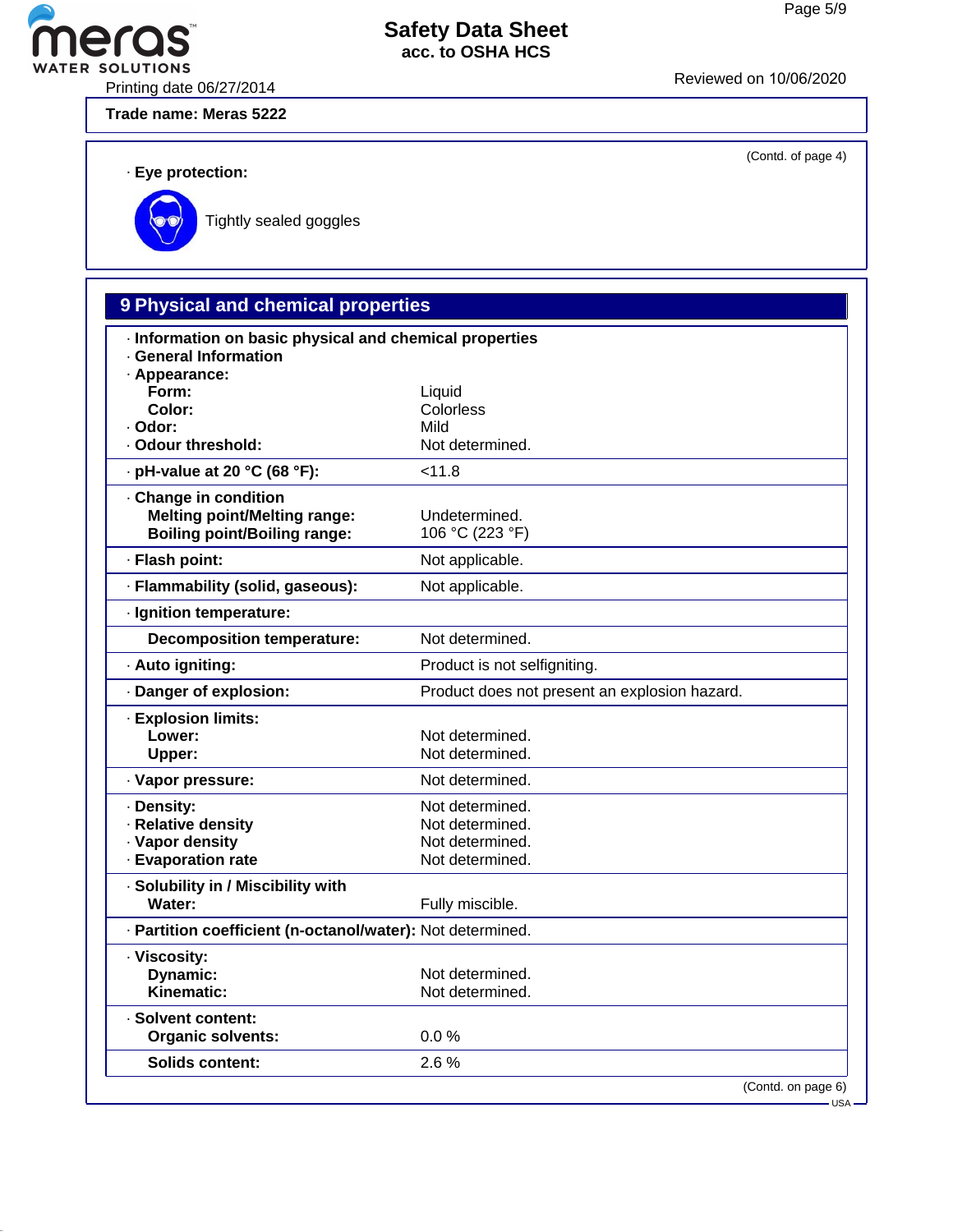(Contd. of page 4)

## **eras**

### **Safety Data Sheet acc. to OSHA HCS**

WATER SOLUTIONS<br>Printing date 06/27/2014 Reviewed on 10/06/2020

**Trade name: Meras 5222**

· **Eye protection:**



Tightly sealed goggles

### **9 Physical and chemical properties**

| · Information on basic physical and chemical properties<br><b>General Information</b> |                                               |
|---------------------------------------------------------------------------------------|-----------------------------------------------|
| · Appearance:                                                                         |                                               |
| Form:                                                                                 | Liquid                                        |
| Color:                                                                                | Colorless                                     |
| · Odor:                                                                               | Mild                                          |
| · Odour threshold:                                                                    | Not determined.                               |
| · pH-value at 20 °C (68 °F):                                                          | < 11.8                                        |
| · Change in condition                                                                 |                                               |
| <b>Melting point/Melting range:</b>                                                   | Undetermined.                                 |
| <b>Boiling point/Boiling range:</b>                                                   | 106 °C (223 °F)                               |
| · Flash point:                                                                        | Not applicable.                               |
| · Flammability (solid, gaseous):                                                      | Not applicable.                               |
| · Ignition temperature:                                                               |                                               |
| <b>Decomposition temperature:</b>                                                     | Not determined.                               |
| · Auto igniting:                                                                      | Product is not selfigniting.                  |
| Danger of explosion:                                                                  | Product does not present an explosion hazard. |
| · Explosion limits:                                                                   |                                               |
| Lower:                                                                                | Not determined.                               |
| Upper:                                                                                | Not determined.                               |
| · Vapor pressure:                                                                     | Not determined.                               |
| · Density:                                                                            | Not determined.                               |
| · Relative density                                                                    | Not determined.                               |
| · Vapor density                                                                       | Not determined.                               |
| · Evaporation rate                                                                    | Not determined.                               |
| · Solubility in / Miscibility with                                                    |                                               |
| Water:                                                                                | Fully miscible.                               |
| - Partition coefficient (n-octanol/water): Not determined.                            |                                               |
| · Viscosity:                                                                          |                                               |
| Dynamic:                                                                              | Not determined.                               |
| Kinematic:                                                                            | Not determined.                               |
| · Solvent content:                                                                    |                                               |
| <b>Organic solvents:</b>                                                              | 0.0%                                          |
| <b>Solids content:</b>                                                                | 2.6%                                          |
|                                                                                       | (Contd. on page 6)<br>– USA −                 |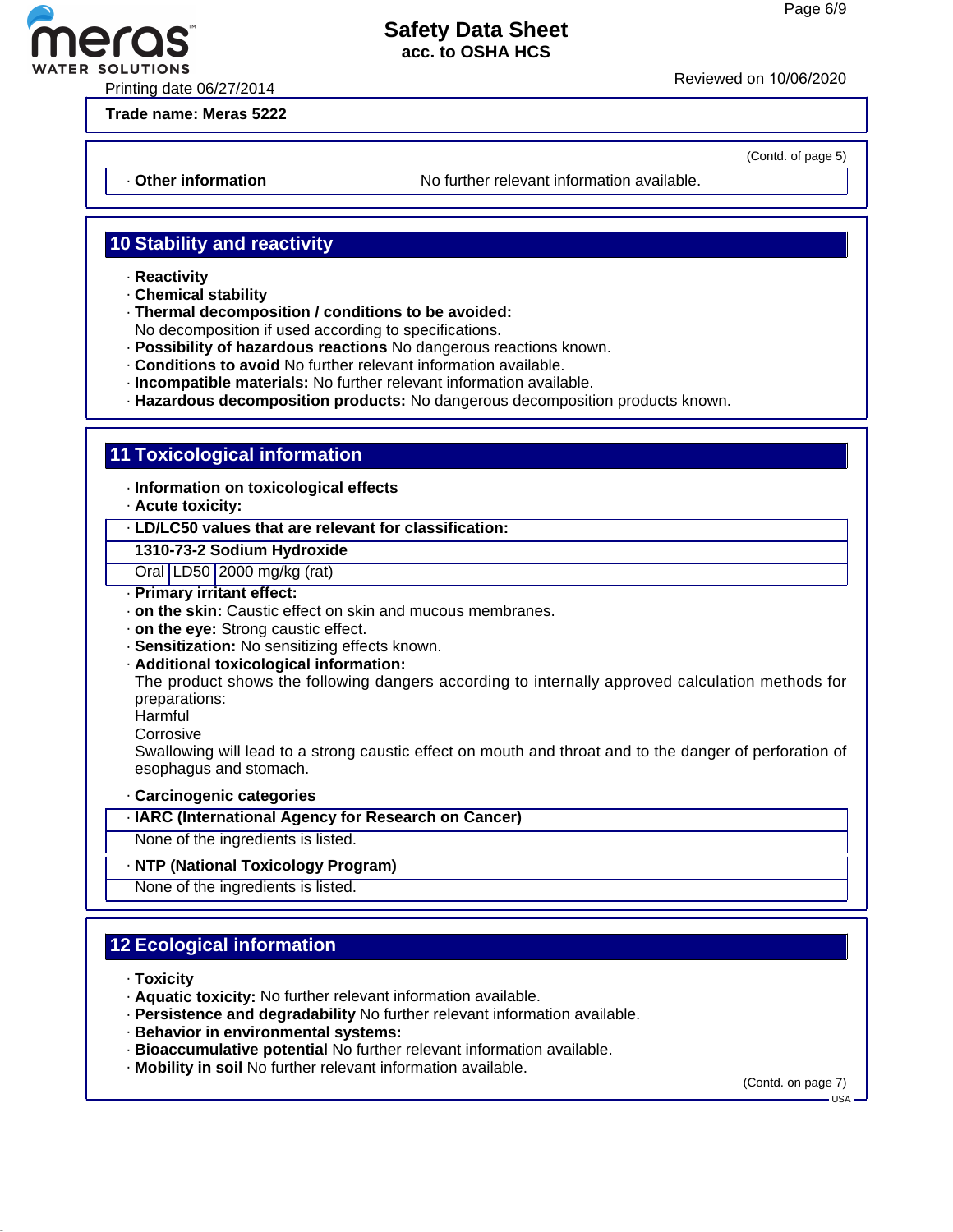

Printing date 06/27/2014 Reviewed on 10/06/20<sup>20</sup>

**Trade name: Meras 5222**

(Contd. of page 5)

· **Other information** No further relevant information available.

### **10 Stability and reactivity**

- · **Reactivity**
- · **Chemical stability**
- · **Thermal decomposition / conditions to be avoided:**

No decomposition if used according to specifications.

- · **Possibility of hazardous reactions** No dangerous reactions known.
- · **Conditions to avoid** No further relevant information available.
- · **Incompatible materials:** No further relevant information available.
- · **Hazardous decomposition products:** No dangerous decomposition products known.

### **11 Toxicological information**

· **Information on toxicological effects**

· **Acute toxicity:**

### · **LD/LC50 values that are relevant for classification:**

**1310-73-2 Sodium Hydroxide**

Oral LD50 2000 mg/kg (rat)

- · **Primary irritant effect:**
- · **on the skin:** Caustic effect on skin and mucous membranes.
- · **on the eye:** Strong caustic effect.
- · **Sensitization:** No sensitizing effects known.
- · **Additional toxicological information:**

The product shows the following dangers according to internally approved calculation methods for preparations:

- Harmful
- **Corrosive**

Swallowing will lead to a strong caustic effect on mouth and throat and to the danger of perforation of esophagus and stomach.

### · **Carcinogenic categories**

· **IARC (International Agency for Research on Cancer)**

None of the ingredients is listed.

### · **NTP (National Toxicology Program)**

None of the ingredients is listed.

### **12 Ecological information**

- · **Toxicity**
- · **Aquatic toxicity:** No further relevant information available.
- · **Persistence and degradability** No further relevant information available.
- · **Behavior in environmental systems:**
- · **Bioaccumulative potential** No further relevant information available.
- · **Mobility in soil** No further relevant information available.

(Contd. on page 7)

 $-1$ ISA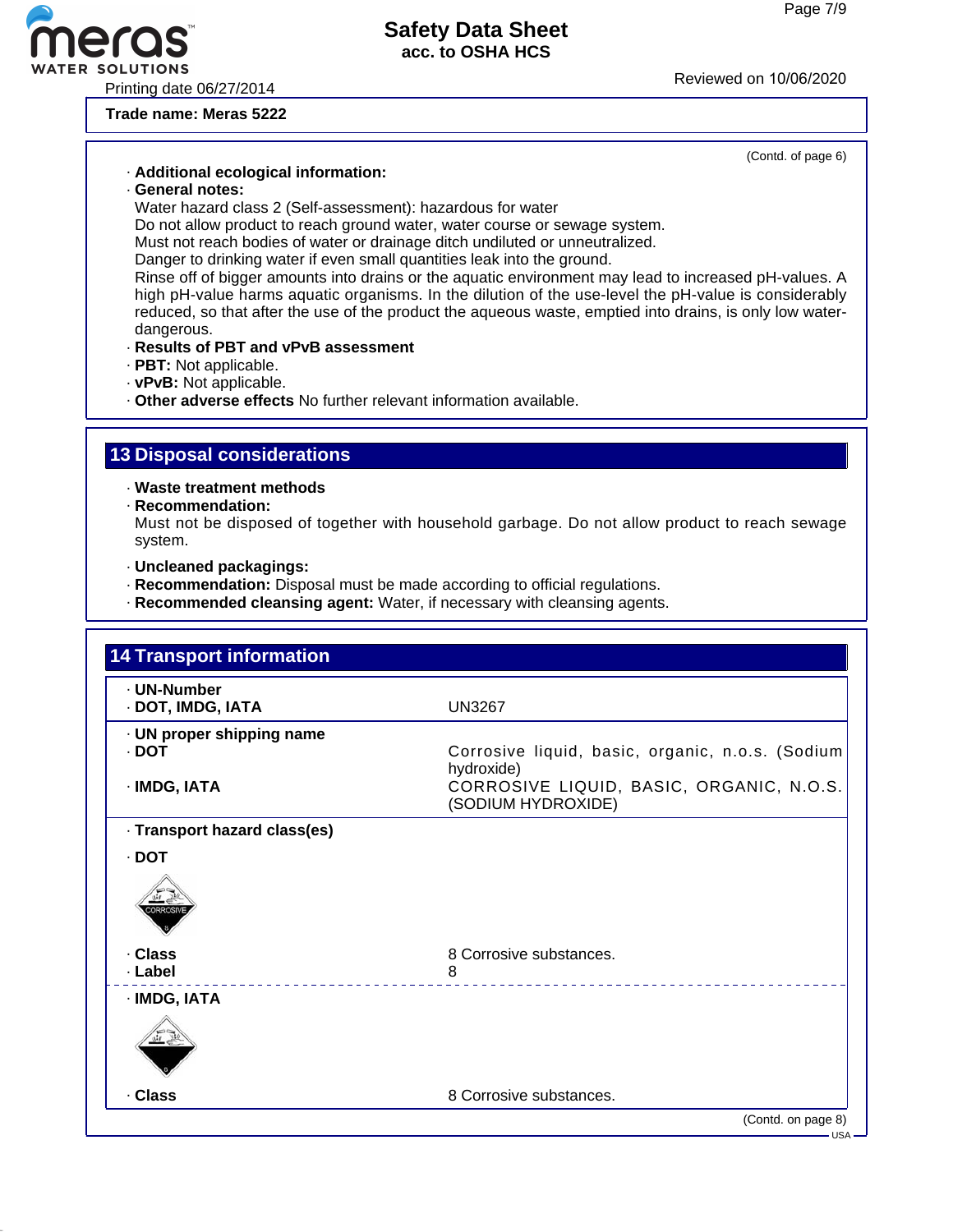(Contd. of page 6)

### **Safety Data Sheet acc. to OSHA HCS**

Printing date 06/27/2014<br>Printing date 06/27/2014

**Trade name: Meras 5222**

### · **Additional ecological information:**

· **General notes:**

Water hazard class 2 (Self-assessment): hazardous for water

Do not allow product to reach ground water, water course or sewage system.

Must not reach bodies of water or drainage ditch undiluted or unneutralized.

Danger to drinking water if even small quantities leak into the ground.

Rinse off of bigger amounts into drains or the aquatic environment may lead to increased pH-values. A high pH-value harms aquatic organisms. In the dilution of the use-level the pH-value is considerably reduced, so that after the use of the product the aqueous waste, emptied into drains, is only low waterdangerous.

- · **Results of PBT and vPvB assessment**
- · **PBT:** Not applicable.
- · **vPvB:** Not applicable.

· **Other adverse effects** No further relevant information available.

### **13 Disposal considerations**

· **Waste treatment methods**

· **Recommendation:**

Must not be disposed of together with household garbage. Do not allow product to reach sewage system.

- · **Uncleaned packagings:**
- · **Recommendation:** Disposal must be made according to official regulations.
- · **Recommended cleansing agent:** Water, if necessary with cleansing agents.

| · UN-Number                  |                                                                |
|------------------------------|----------------------------------------------------------------|
| · DOT, IMDG, IATA            | <b>UN3267</b>                                                  |
| · UN proper shipping name    |                                                                |
| $\cdot$ DOT                  | Corrosive liquid, basic, organic, n.o.s. (Sodium<br>hydroxide) |
| · IMDG, IATA                 | CORROSIVE LIQUID, BASIC, ORGANIC, N.O.S.<br>(SODIUM HYDROXIDE) |
| · Transport hazard class(es) |                                                                |
| · DOT                        |                                                                |
| DRROSI'                      |                                                                |
| · Class                      | 8 Corrosive substances.                                        |
| · Label                      | 8                                                              |
| · IMDG, IATA                 |                                                                |
|                              |                                                                |
| · Class                      | 8 Corrosive substances.                                        |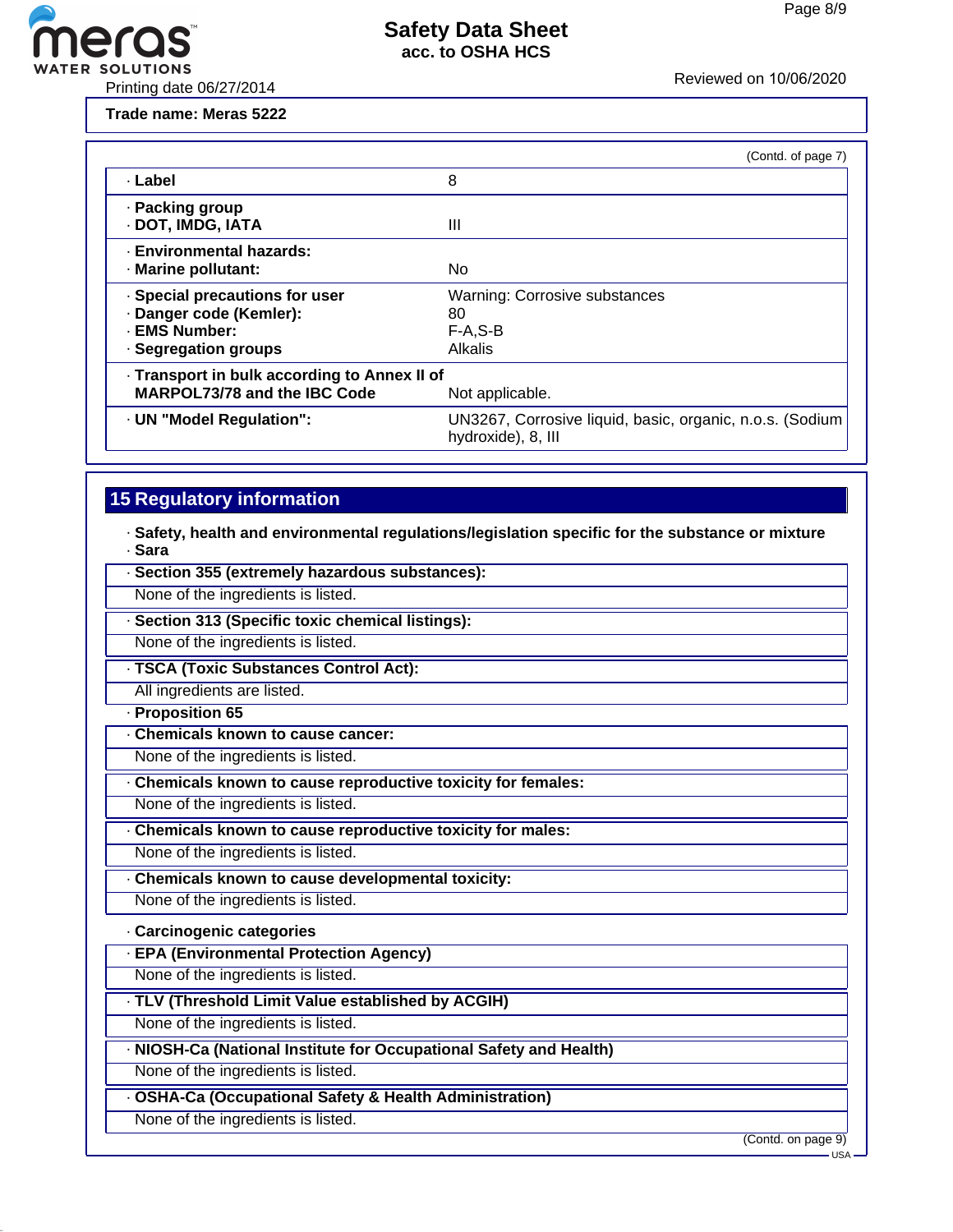

**Trade name: Meras 5222**

|                                                                                                        | (Contd. of page 7)                                                             |  |  |
|--------------------------------------------------------------------------------------------------------|--------------------------------------------------------------------------------|--|--|
| · Label                                                                                                | 8                                                                              |  |  |
| · Packing group<br>· DOT, IMDG, IATA                                                                   | Ш                                                                              |  |  |
| - Environmental hazards:<br>· Marine pollutant:                                                        | No                                                                             |  |  |
| · Special precautions for user<br>· Danger code (Kemler):<br>- EMS Number:<br>- Segregation groups     | <b>Warning: Corrosive substances</b><br>80<br>$F-A, S-B$<br><b>Alkalis</b>     |  |  |
| · Transport in bulk according to Annex II of<br><b>MARPOL73/78 and the IBC Code</b><br>Not applicable. |                                                                                |  |  |
| · UN "Model Regulation":                                                                               | UN3267, Corrosive liquid, basic, organic, n.o.s. (Sodium<br>hydroxide), 8, III |  |  |

### **15 Regulatory information**

· **Safety, health and environmental regulations/legislation specific for the substance or mixture** · **Sara**

| · Section 355 (extremely hazardous substances):                  |                               |
|------------------------------------------------------------------|-------------------------------|
| None of the ingredients is listed.                               |                               |
| · Section 313 (Specific toxic chemical listings):                |                               |
| None of the ingredients is listed.                               |                               |
| · TSCA (Toxic Substances Control Act):                           |                               |
| All ingredients are listed.                                      |                               |
| Proposition 65                                                   |                               |
| Chemicals known to cause cancer:                                 |                               |
| None of the ingredients is listed.                               |                               |
| Chemicals known to cause reproductive toxicity for females:      |                               |
| None of the ingredients is listed.                               |                               |
| Chemicals known to cause reproductive toxicity for males:        |                               |
| None of the ingredients is listed.                               |                               |
| Chemicals known to cause developmental toxicity:                 |                               |
| None of the ingredients is listed.                               |                               |
| · Carcinogenic categories                                        |                               |
| <b>EPA (Environmental Protection Agency)</b>                     |                               |
| None of the ingredients is listed.                               |                               |
| · TLV (Threshold Limit Value established by ACGIH)               |                               |
| None of the ingredients is listed.                               |                               |
| NIOSH-Ca (National Institute for Occupational Safety and Health) |                               |
| None of the ingredients is listed.                               |                               |
| · OSHA-Ca (Occupational Safety & Health Administration)          |                               |
| None of the ingredients is listed.                               |                               |
|                                                                  | (Contd. on page 9)<br>$USA -$ |